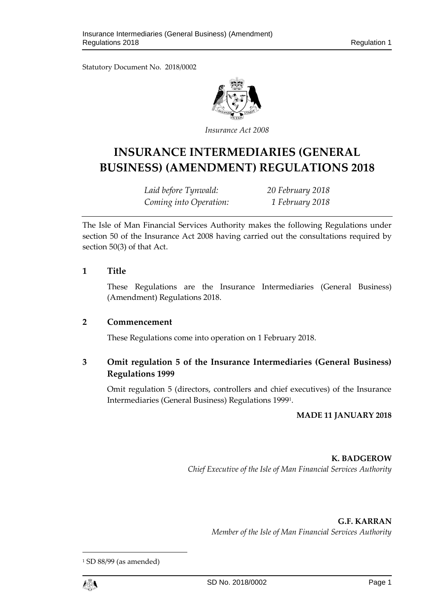Statutory Document No. 2018/0002



*Insurance Act 2008*

# **INSURANCE INTERMEDIARIES (GENERAL BUSINESS) (AMENDMENT) REGULATIONS 2018**

*Laid before Tynwald: 20 February 2018 Coming into Operation: 1 February 2018*

The Isle of Man Financial Services Authority makes the following Regulations under section 50 of the Insurance Act 2008 having carried out the consultations required by section 50(3) of that Act.

## **1 Title**

These Regulations are the Insurance Intermediaries (General Business) (Amendment) Regulations 2018.

### **2 Commencement**

These Regulations come into operation on 1 February 2018.

# **3 Omit regulation 5 of the Insurance Intermediaries (General Business) Regulations 1999**

Omit regulation 5 (directors, controllers and chief executives) of the Insurance Intermediaries (General Business) Regulations 1999<sup>1</sup> .

## **MADE 11 JANUARY 2018**

**K. BADGEROW** *Chief Executive of the Isle of Man Financial Services Authority*

**G.F. KARRAN**

*Member of the Isle of Man Financial Services Authority*

<sup>1</sup> SD 88/99 (as amended)



 $\overline{a}$